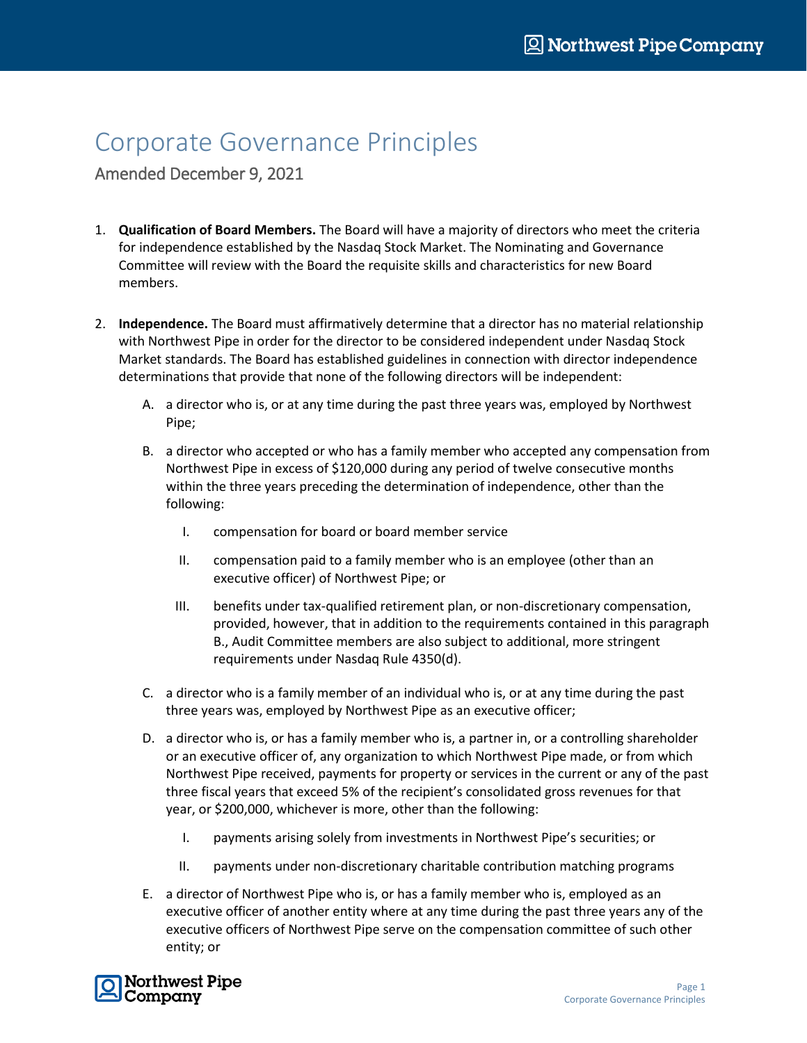## Corporate Governance Principles

Amended December 9, 2021

- 1. **Qualification of Board Members.** The Board will have a majority of directors who meet the criteria for independence established by the Nasdaq Stock Market. The Nominating and Governance Committee will review with the Board the requisite skills and characteristics for new Board members.
- 2. **Independence.** The Board must affirmatively determine that a director has no material relationship with Northwest Pipe in order for the director to be considered independent under Nasdaq Stock Market standards. The Board has established guidelines in connection with director independence determinations that provide that none of the following directors will be independent:
	- A. a director who is, or at any time during the past three years was, employed by Northwest Pipe;
	- B. a director who accepted or who has a family member who accepted any compensation from Northwest Pipe in excess of \$120,000 during any period of twelve consecutive months within the three years preceding the determination of independence, other than the following:
		- I. compensation for board or board member service
		- II. compensation paid to a family member who is an employee (other than an executive officer) of Northwest Pipe; or
		- III. benefits under tax-qualified retirement plan, or non-discretionary compensation, provided, however, that in addition to the requirements contained in this paragraph B., Audit Committee members are also subject to additional, more stringent requirements under Nasdaq Rule 4350(d).
	- C. a director who is a family member of an individual who is, or at any time during the past three years was, employed by Northwest Pipe as an executive officer;
	- D. a director who is, or has a family member who is, a partner in, or a controlling shareholder or an executive officer of, any organization to which Northwest Pipe made, or from which Northwest Pipe received, payments for property or services in the current or any of the past three fiscal years that exceed 5% of the recipient's consolidated gross revenues for that year, or \$200,000, whichever is more, other than the following:
		- I. payments arising solely from investments in Northwest Pipe's securities; or
		- II. payments under non-discretionary charitable contribution matching programs
	- E. a director of Northwest Pipe who is, or has a family member who is, employed as an executive officer of another entity where at any time during the past three years any of the executive officers of Northwest Pipe serve on the compensation committee of such other entity; or

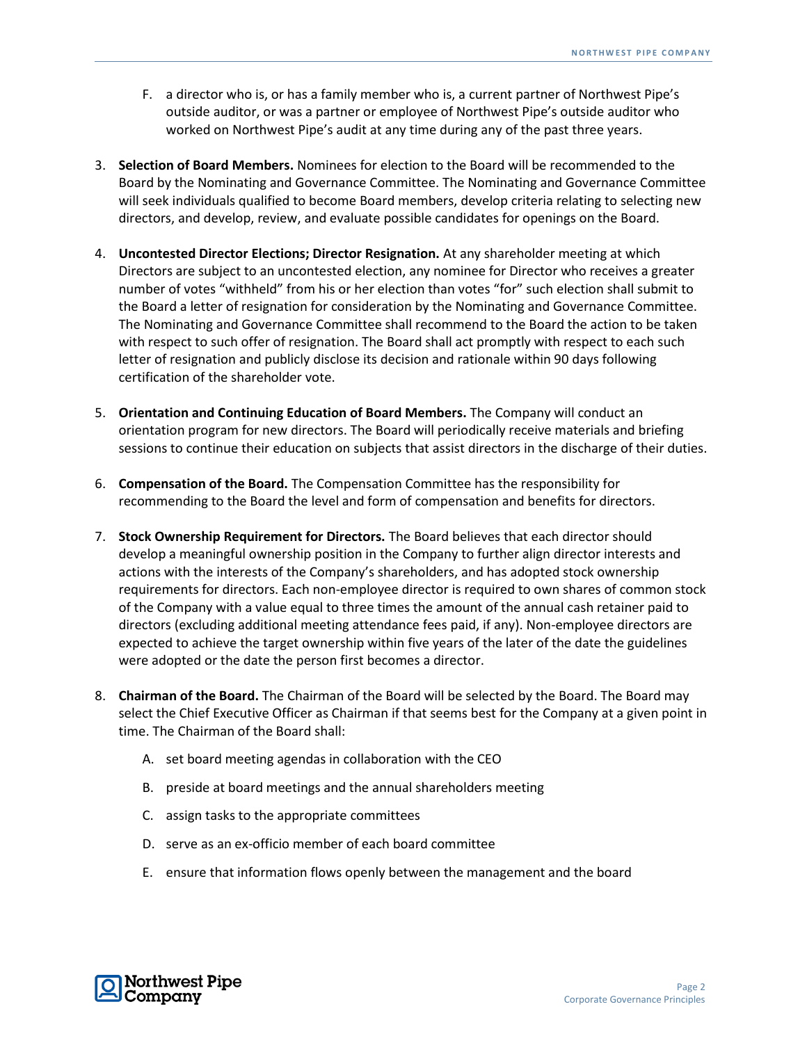- F. a director who is, or has a family member who is, a current partner of Northwest Pipe's outside auditor, or was a partner or employee of Northwest Pipe's outside auditor who worked on Northwest Pipe's audit at any time during any of the past three years.
- 3. **Selection of Board Members.** Nominees for election to the Board will be recommended to the Board by the Nominating and Governance Committee. The Nominating and Governance Committee will seek individuals qualified to become Board members, develop criteria relating to selecting new directors, and develop, review, and evaluate possible candidates for openings on the Board.
- 4. **Uncontested Director Elections; Director Resignation.** At any shareholder meeting at which Directors are subject to an uncontested election, any nominee for Director who receives a greater number of votes "withheld" from his or her election than votes "for" such election shall submit to the Board a letter of resignation for consideration by the Nominating and Governance Committee. The Nominating and Governance Committee shall recommend to the Board the action to be taken with respect to such offer of resignation. The Board shall act promptly with respect to each such letter of resignation and publicly disclose its decision and rationale within 90 days following certification of the shareholder vote.
- 5. **Orientation and Continuing Education of Board Members.** The Company will conduct an orientation program for new directors. The Board will periodically receive materials and briefing sessions to continue their education on subjects that assist directors in the discharge of their duties.
- 6. **Compensation of the Board.** The Compensation Committee has the responsibility for recommending to the Board the level and form of compensation and benefits for directors.
- 7. **Stock Ownership Requirement for Directors.** The Board believes that each director should develop a meaningful ownership position in the Company to further align director interests and actions with the interests of the Company's shareholders, and has adopted stock ownership requirements for directors. Each non-employee director is required to own shares of common stock of the Company with a value equal to three times the amount of the annual cash retainer paid to directors (excluding additional meeting attendance fees paid, if any). Non-employee directors are expected to achieve the target ownership within five years of the later of the date the guidelines were adopted or the date the person first becomes a director.
- 8. **Chairman of the Board.** The Chairman of the Board will be selected by the Board. The Board may select the Chief Executive Officer as Chairman if that seems best for the Company at a given point in time. The Chairman of the Board shall:
	- A. set board meeting agendas in collaboration with the CEO
	- B. preside at board meetings and the annual shareholders meeting
	- C. assign tasks to the appropriate committees
	- D. serve as an ex-officio member of each board committee
	- E. ensure that information flows openly between the management and the board

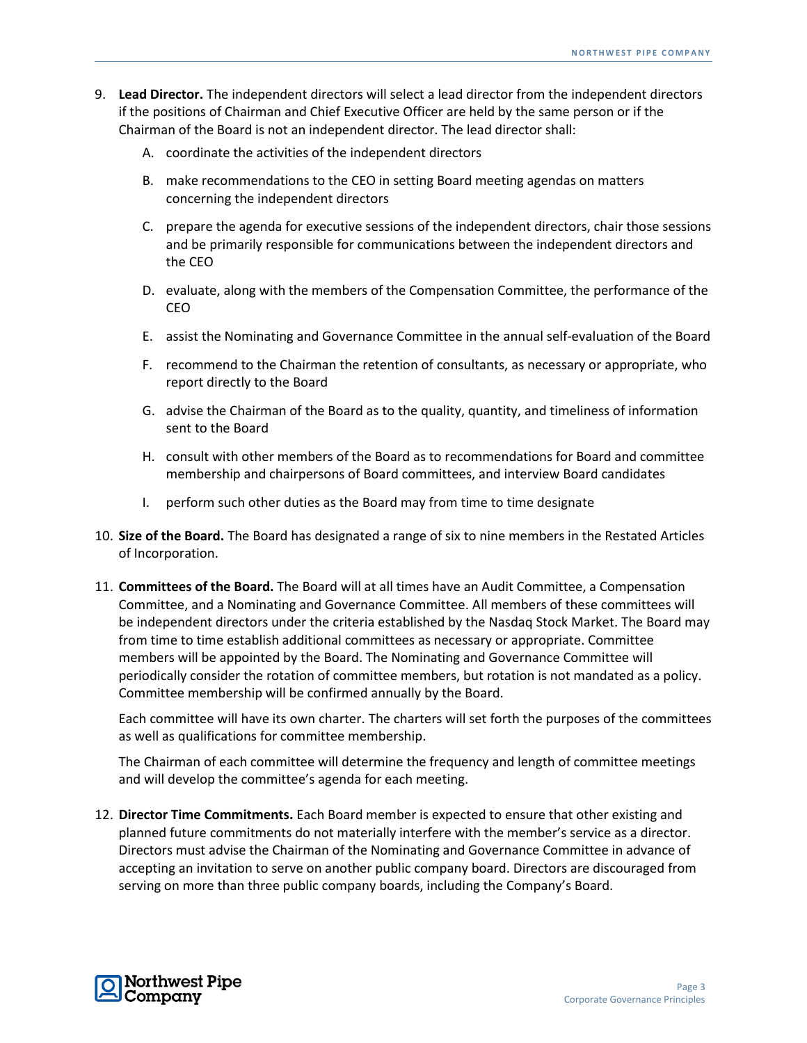- 9. **Lead Director.** The independent directors will select a lead director from the independent directors if the positions of Chairman and Chief Executive Officer are held by the same person or if the Chairman of the Board is not an independent director. The lead director shall:
	- A. coordinate the activities of the independent directors
	- B. make recommendations to the CEO in setting Board meeting agendas on matters concerning the independent directors
	- C. prepare the agenda for executive sessions of the independent directors, chair those sessions and be primarily responsible for communications between the independent directors and the CEO
	- D. evaluate, along with the members of the Compensation Committee, the performance of the CEO
	- E. assist the Nominating and Governance Committee in the annual self-evaluation of the Board
	- F. recommend to the Chairman the retention of consultants, as necessary or appropriate, who report directly to the Board
	- G. advise the Chairman of the Board as to the quality, quantity, and timeliness of information sent to the Board
	- H. consult with other members of the Board as to recommendations for Board and committee membership and chairpersons of Board committees, and interview Board candidates
	- I. perform such other duties as the Board may from time to time designate
- 10. **Size of the Board.** The Board has designated a range of six to nine members in the Restated Articles of Incorporation.
- 11. **Committees of the Board.** The Board will at all times have an Audit Committee, a Compensation Committee, and a Nominating and Governance Committee. All members of these committees will be independent directors under the criteria established by the Nasdaq Stock Market. The Board may from time to time establish additional committees as necessary or appropriate. Committee members will be appointed by the Board. The Nominating and Governance Committee will periodically consider the rotation of committee members, but rotation is not mandated as a policy. Committee membership will be confirmed annually by the Board.

Each committee will have its own charter. The charters will set forth the purposes of the committees as well as qualifications for committee membership.

The Chairman of each committee will determine the frequency and length of committee meetings and will develop the committee's agenda for each meeting.

12. **Director Time Commitments.** Each Board member is expected to ensure that other existing and planned future commitments do not materially interfere with the member's service as a director. Directors must advise the Chairman of the Nominating and Governance Committee in advance of accepting an invitation to serve on another public company board. Directors are discouraged from serving on more than three public company boards, including the Company's Board.

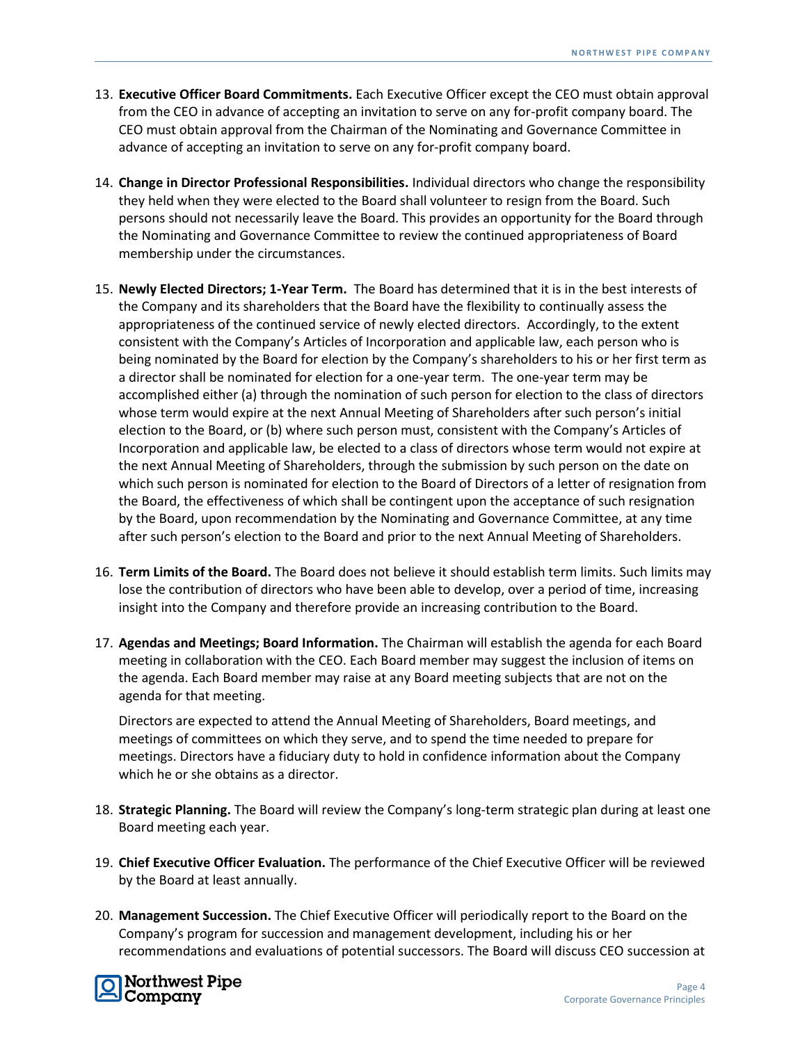- 13. **Executive Officer Board Commitments.** Each Executive Officer except the CEO must obtain approval from the CEO in advance of accepting an invitation to serve on any for-profit company board. The CEO must obtain approval from the Chairman of the Nominating and Governance Committee in advance of accepting an invitation to serve on any for-profit company board.
- 14. **Change in Director Professional Responsibilities.** Individual directors who change the responsibility they held when they were elected to the Board shall volunteer to resign from the Board. Such persons should not necessarily leave the Board. This provides an opportunity for the Board through the Nominating and Governance Committee to review the continued appropriateness of Board membership under the circumstances.
- 15. **Newly Elected Directors; 1-Year Term.** The Board has determined that it is in the best interests of the Company and its shareholders that the Board have the flexibility to continually assess the appropriateness of the continued service of newly elected directors. Accordingly, to the extent consistent with the Company's Articles of Incorporation and applicable law, each person who is being nominated by the Board for election by the Company's shareholders to his or her first term as a director shall be nominated for election for a one-year term. The one-year term may be accomplished either (a) through the nomination of such person for election to the class of directors whose term would expire at the next Annual Meeting of Shareholders after such person's initial election to the Board, or (b) where such person must, consistent with the Company's Articles of Incorporation and applicable law, be elected to a class of directors whose term would not expire at the next Annual Meeting of Shareholders, through the submission by such person on the date on which such person is nominated for election to the Board of Directors of a letter of resignation from the Board, the effectiveness of which shall be contingent upon the acceptance of such resignation by the Board, upon recommendation by the Nominating and Governance Committee, at any time after such person's election to the Board and prior to the next Annual Meeting of Shareholders.
- 16. **Term Limits of the Board.** The Board does not believe it should establish term limits. Such limits may lose the contribution of directors who have been able to develop, over a period of time, increasing insight into the Company and therefore provide an increasing contribution to the Board.
- 17. **Agendas and Meetings; Board Information.** The Chairman will establish the agenda for each Board meeting in collaboration with the CEO. Each Board member may suggest the inclusion of items on the agenda. Each Board member may raise at any Board meeting subjects that are not on the agenda for that meeting.

Directors are expected to attend the Annual Meeting of Shareholders, Board meetings, and meetings of committees on which they serve, and to spend the time needed to prepare for meetings. Directors have a fiduciary duty to hold in confidence information about the Company which he or she obtains as a director.

- 18. **Strategic Planning.** The Board will review the Company's long-term strategic plan during at least one Board meeting each year.
- 19. **Chief Executive Officer Evaluation.** The performance of the Chief Executive Officer will be reviewed by the Board at least annually.
- 20. **Management Succession.** The Chief Executive Officer will periodically report to the Board on the Company's program for succession and management development, including his or her recommendations and evaluations of potential successors. The Board will discuss CEO succession at